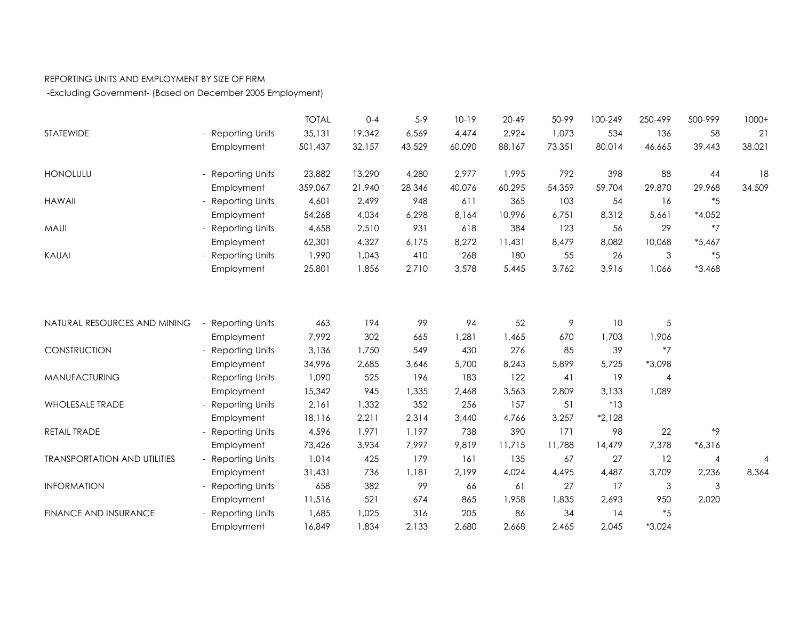## REPORTING UNITS AND EMPLOYMENT BY SIZE OF FIRM

-Excluding Government- (Based on December 2005 Employment)

|                                     |                        | <b>TOTAL</b> | $0 - 4$ | $5 - 9$ | $10-19$ | $20 - 49$ | 50-99  | 100-249  | 250-499  | 500-999        | $1000+$ |
|-------------------------------------|------------------------|--------------|---------|---------|---------|-----------|--------|----------|----------|----------------|---------|
| STATEWIDE                           | <b>Reporting Units</b> | 35,131       | 19,342  | 6,569   | 4,474   | 2,924     | 1,073  | 534      | 136      | 58             | 21      |
|                                     | Employment             | 501,437      | 32,157  | 43,529  | 60,090  | 88,167    | 73,351 | 80,014   | 46,665   | 39,443         | 38,021  |
| <b>HONOLULU</b>                     | Reporting Units        | 23,882       | 13,290  | 4,280   | 2,977   | 1,995     | 792    | 398      | 88       | 44             | 18      |
|                                     | Employment             | 359,067      | 21,940  | 28,346  | 40,076  | 60,295    | 54,359 | 59,704   | 29,870   | 29,968         | 34,509  |
| <b>HAWAII</b>                       | <b>Reporting Units</b> | 4,601        | 2,499   | 948     | 611     | 365       | 103    | 54       | 16       | $*5$           |         |
|                                     | Employment             | 54,268       | 4,034   | 6,298   | 8,164   | 10,996    | 6,751  | 8,312    | 5,661    | $*4,052$       |         |
| MAUI                                | <b>Reporting Units</b> | 4,658        | 2,510   | 931     | 618     | 384       | 123    | 56       | 29       | $*7$           |         |
|                                     | Employment             | 62,301       | 4,327   | 6,175   | 8,272   | 11,431    | 8,479  | 8,082    | 10,068   | $*5,467$       |         |
| KAUAI                               | <b>Reporting Units</b> | 1,990        | 1,043   | 410     | 268     | 180       | 55     | 26       | 3        | $*5$           |         |
|                                     | Employment             | 25,801       | 1,856   | 2,710   | 3,578   | 5,445     | 3,762  | 3,916    | 1,066    | $*3,468$       |         |
|                                     |                        |              |         |         |         |           |        |          |          |                |         |
| NATURAL RESOURCES AND MINING        | <b>Reporting Units</b> | 463          | 194     | 99      | 94      | 52        | 9      | 10       | 5        |                |         |
|                                     | Employment             | 7,992        | 302     | 665     | 1,281   | 1,465     | 670    | 1,703    | 1,906    |                |         |
| CONSTRUCTION                        | <b>Reporting Units</b> | 3,136        | 1,750   | 549     | 430     | 276       | 85     | 39       | $*7$     |                |         |
|                                     | Employment             | 34,996       | 2,685   | 3,646   | 5,700   | 8,243     | 5,899  | 5,725    | *3,098   |                |         |
| <b>MANUFACTURING</b>                | <b>Reporting Units</b> | 1,090        | 525     | 196     | 183     | 122       | 41     | 19       | 4        |                |         |
|                                     | Employment             | 15,342       | 945     | 1,335   | 2,468   | 3,563     | 2,809  | 3,133    | 1,089    |                |         |
| <b>WHOLESALE TRADE</b>              | <b>Reporting Units</b> | 2,161        | 1,332   | 352     | 256     | 157       | 51     | $*13$    |          |                |         |
|                                     | Employment             | 18,116       | 2,211   | 2,314   | 3,440   | 4,766     | 3,257  | $*2,128$ |          |                |         |
| RETAIL TRADE                        | <b>Reporting Units</b> | 4,596        | 1,971   | 1,197   | 738     | 390       | 171    | 98       | 22       | $*9$           |         |
|                                     | Employment             | 73,426       | 3,934   | 7,997   | 9,819   | 11,715    | 11,788 | 14,479   | 7,378    | $*6,316$       |         |
| <b>TRANSPORTATION AND UTILITIES</b> | <b>Reporting Units</b> | 1,014        | 425     | 179     | 161     | 135       | 67     | 27       | 12       | $\overline{4}$ | 4       |
|                                     | Employment             | 31,431       | 736     | 1,181   | 2,199   | 4,024     | 4,495  | 4,487    | 3,709    | 2,236          | 8,364   |
| <b>INFORMATION</b>                  | <b>Reporting Units</b> | 658          | 382     | 99      | 66      | 61        | 27     | 17       | 3        | $\mathfrak{S}$ |         |
|                                     | Employment             | 11,516       | 521     | 674     | 865     | 1,958     | 1,835  | 2,693    | 950      | 2,020          |         |
| <b>FINANCE AND INSURANCE</b>        | <b>Reporting Units</b> | 1,685        | 1,025   | 316     | 205     | 86        | 34     | 14       | $*5$     |                |         |
|                                     | Employment             | 16,849       | 1,834   | 2,133   | 2,680   | 2,668     | 2,465  | 2,045    | $*3,024$ |                |         |